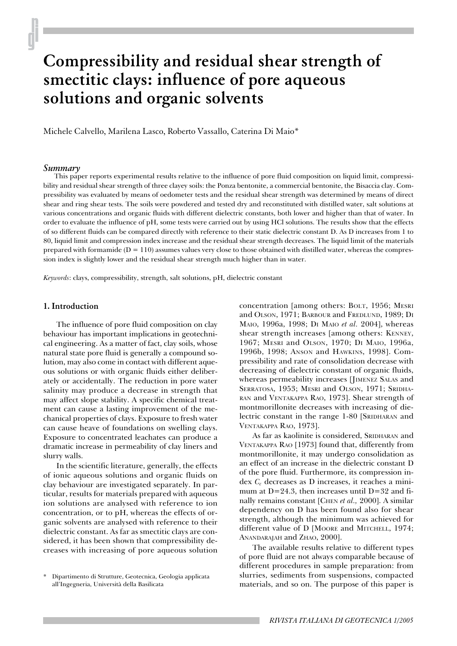# **Compressibility and residual shear strength of smectitic clays: influence of pore aqueous solutions and organic solvents**

Michele Calvello, Marilena Lasco, Roberto Vassallo, Caterina Di Maio\*

#### *Summary*

This paper reports experimental results relative to the influence of pore fluid composition on liquid limit, compressibility and residual shear strength of three clayey soils: the Ponza bentonite, a commercial bentonite, the Bisaccia clay. Compressibility was evaluated by means of oedometer tests and the residual shear strength was determined by means of direct shear and ring shear tests. The soils were powdered and tested dry and reconstituted with distilled water, salt solutions at various concentrations and organic fluids with different dielectric constants, both lower and higher than that of water. In order to evaluate the influence of pH, some tests were carried out by using HCl solutions. The results show that the effects of so different fluids can be compared directly with reference to their static dielectric constant D. As D increases from 1 to 80, liquid limit and compression index increase and the residual shear strength decreases. The liquid limit of the materials prepared with formamide  $(D = 110)$  assumes values very close to those obtained with distilled water, whereas the compression index is slightly lower and the residual shear strength much higher than in water.

*Keywords*: clays, compressibility, strength, salt solutions, pH, dielectric constant

## **1. Introduction**

The influence of pore fluid composition on clay behaviour has important implications in geotechnical engineering. As a matter of fact, clay soils, whose natural state pore fluid is generally a compound solution, may also come in contact with different aqueous solutions or with organic fluids either deliberately or accidentally. The reduction in pore water salinity may produce a decrease in strength that may affect slope stability. A specific chemical treatment can cause a lasting improvement of the mechanical properties of clays. Exposure to fresh water can cause heave of foundations on swelling clays. Exposure to concentrated leachates can produce a dramatic increase in permeability of clay liners and slurry walls.

In the scientific literature, generally, the effects of ionic aqueous solutions and organic fluids on clay behaviour are investigated separately. In particular, results for materials prepared with aqueous ion solutions are analysed with reference to ion concentration, or to pH, whereas the effects of organic solvents are analysed with reference to their dielectric constant. As far as smectitic clays are considered, it has been shown that compressibility decreases with increasing of pore aqueous solution concentration [among others: BOLT, 1956; MESRI and OLSON, 1971; BARBOUR and FREDLUND, 1989; DI MAIO, 1996a, 1998; DI MAIO *et al.* 2004], whereas shear strength increases [among others: KENNEY, 1967; MESRI and OLSON, 1970; DI MAIO, 1996a, 1996b, 1998; ANSON and HAWKINS, 1998]. Compressibility and rate of consolidation decrease with decreasing of dielectric constant of organic fluids, whereas permeability increases [JIMENEZ SALAS and SERRATOSA, 1953; MESRI and OLSON, 1971; SRIDHA-RAN and VENTAKAPPA RAO, 1973]. Shear strength of montmorillonite decreases with increasing of dielectric constant in the range 1-80 [SRIDHARAN and VENTAKAPPA RAO, 1973].

As far as kaolinite is considered, SRIDHARAN and VENTAKAPPA RAO [1973] found that, differently from montmorillonite, it may undergo consolidation as an effect of an increase in the dielectric constant D of the pore fluid. Furthermore, its compression index  $C_c$  decreases as D increases, it reaches a minimum at  $D=24.3$ , then increases until  $D=32$  and finally remains constant [CHEN *et al.,* 2000]. A similar dependency on D has been found also for shear strength, although the minimum was achieved for different value of D [MOORE and MITCHELL, 1974; ANANDARAJAH and ZHAO, 2000].

The available results relative to different types of pore fluid are not always comparable because of different procedures in sample preparation: from slurries, sediments from suspensions, compacted materials, and so on. The purpose of this paper is

<sup>\*</sup> Dipartimento di Strutture, Geotecnica, Geologia applicata all'Ingegneria, Università della Basilicata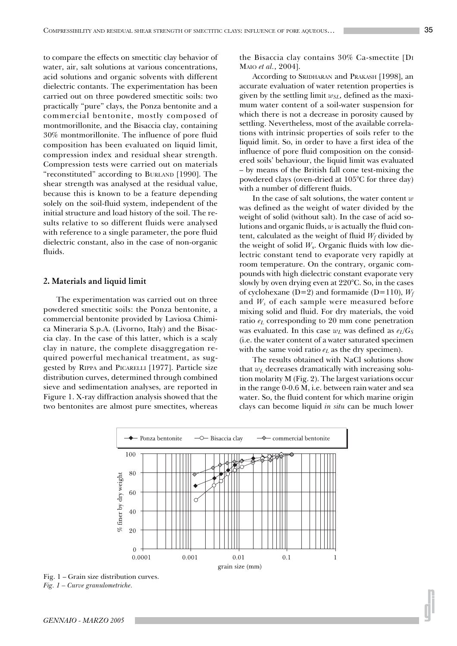to compare the effects on smectitic clay behavior of water, air, salt solutions at various concentrations, acid solutions and organic solvents with different dielectric contants. The experimentation has been carried out on three powdered smectitic soils: two practically "pure" clays, the Ponza bentonite and a commercial bentonite, mostly composed of montmorillonite, and the Bisaccia clay, containing 30% montmorillonite. The influence of pore fluid composition has been evaluated on liquid limit, compression index and residual shear strength. Compression tests were carried out on materials "reconstituted" according to BURLAND [1990]. The shear strength was analysed at the residual value, because this is known to be a feature depending solely on the soil-fluid system, independent of the initial structure and load history of the soil. The results relative to so different fluids were analysed with reference to a single parameter, the pore fluid dielectric constant, also in the case of non-organic fluids.

#### **2. Materials and liquid limit**

The experimentation was carried out on three powdered smectitic soils: the Ponza bentonite, a commercial bentonite provided by Laviosa Chimica Mineraria S.p.A. (Livorno, Italy) and the Bisaccia clay. In the case of this latter, which is a scaly clay in nature, the complete disaggregation required powerful mechanical treatment, as suggested by RIPPA and PICARELLI [1977]. Particle size distribution curves, determined through combined sieve and sedimentation analyses, are reported in Figure 1. X-ray diffraction analysis showed that the two bentonites are almost pure smectites, whereas

the Bisaccia clay contains 30% Ca-smectite [DI MAIO *et al.*, 2004].

According to SRIDHARAN and PRAKASH [1998], an accurate evaluation of water retention properties is given by the settling limit  $w_{SL}$ , defined as the maximum water content of a soil-water suspension for which there is not a decrease in porosity caused by settling. Nevertheless, most of the available correlations with intrinsic properties of soils refer to the liquid limit. So, in order to have a first idea of the influence of pore fluid composition on the considered soils' behaviour, the liquid limit was evaluated – by means of the British fall cone test-mixing the powdered clays (oven-dried at 105°C for three day) with a number of different fluids.

In the case of salt solutions, the water content *w* was defined as the weight of water divided by the weight of solid (without salt). In the case of acid solutions and organic fluids, *w* is actually the fluid content, calculated as the weight of fluid  $W_f$  divided by the weight of solid  $W_s$ . Organic fluids with low dielectric constant tend to evaporate very rapidly at room temperature. On the contrary, organic compounds with high dielectric constant evaporate very slowly by oven drying even at 220°C. So, in the cases of cyclohexane (D=2) and formamide (D=110),  $W_f$ and *Ws* of each sample were measured before mixing solid and fluid. For dry materials, the void ratio *eL* corresponding to 20 mm cone penetration was evaluated. In this case  $w_L$  was defined as  $e_L/G_S$ (i.e. the water content of a water saturated specimen with the same void ratio  $e<sub>L</sub>$  as the dry specimen).

The results obtained with NaCl solutions show that  $w_L$  decreases dramatically with increasing solution molarity M (Fig. 2). The largest variations occur in the range 0-0.6 M, i.e. between rain water and sea water. So, the fluid content for which marine origin clays can become liquid *in situ* can be much lower



*Fig. 1 – Curve granulometriche.*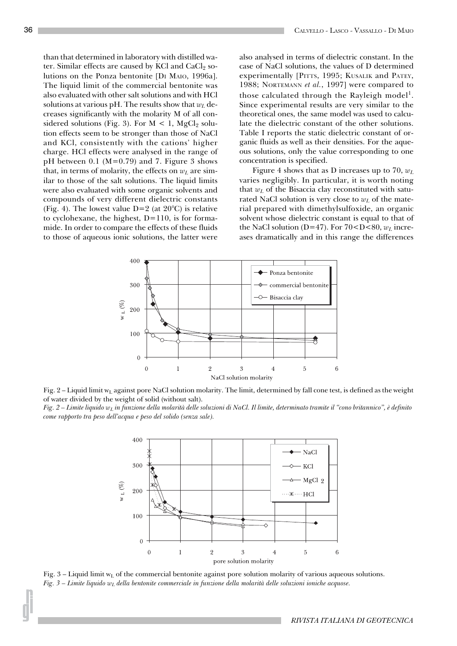than that determined in laboratory with distilled water. Similar effects are caused by KCl and  $CaCl<sub>2</sub>$  solutions on the Ponza bentonite [DI MAIO, 1996a]. The liquid limit of the commercial bentonite was also evaluated with other salt solutions and with HCl solutions at various pH. The results show that *wL* decreases significantly with the molarity M of all considered solutions (Fig. 3). For  $M < 1$ , MgCl<sub>2</sub> solution effects seem to be stronger than those of NaCl and KCl, consistently with the cations' higher charge. HCl effects were analysed in the range of pH between 0.1 ( $M=0.79$ ) and 7. Figure 3 shows that, in terms of molarity, the effects on  $w<sub>L</sub>$  are similar to those of the salt solutions. The liquid limits were also evaluated with some organic solvents and compounds of very different dielectric constants (Fig. 4). The lowest value  $D=2$  (at  $20^{\circ}C$ ) is relative to cyclohexane, the highest,  $D=110$ , is for formamide. In order to compare the effects of these fluids to those of aqueous ionic solutions, the latter were also analysed in terms of dielectric constant. In the case of NaCl solutions, the values of D determined experimentally [PITTS, 1995; KUSALIK and PATEY, 1988; NORTEMANN *et al.*, 1997] were compared to those calculated through the Rayleigh model<sup>1</sup>. Since experimental results are very similar to the theoretical ones, the same model was used to calculate the dielectric constant of the other solutions. Table I reports the static dielectric constant of organic fluids as well as their densities. For the aqueous solutions, only the value corresponding to one concentration is specified.

Figure 4 shows that as D increases up to 70, *wL* varies negligibly. In particular, it is worth noting that  $w<sub>L</sub>$  of the Bisaccia clay reconstituted with saturated NaCl solution is very close to  $w_L$  of the material prepared with dimethylsulfoxide, an organic solvent whose dielectric constant is equal to that of the NaCl solution (D=47). For  $70 < D < 80$ ,  $w<sub>L</sub>$  increases dramatically and in this range the differences





*Fig. 2 – Limite liquido wL in funzione della molarità delle soluzioni di NaCl. Il limite, determinato tramite il "cono britannico", è definito come rapporto tra peso dell'acqua e peso del solido (senza sale).*



Fig.  $3$  – Liquid limit w<sub>L</sub> of the commercial bentonite against pore solution molarity of various aqueous solutions. *Fig. 3 – Limite liquido wL della bentonite commerciale in funzione della molarità delle soluzioni ioniche acquose.*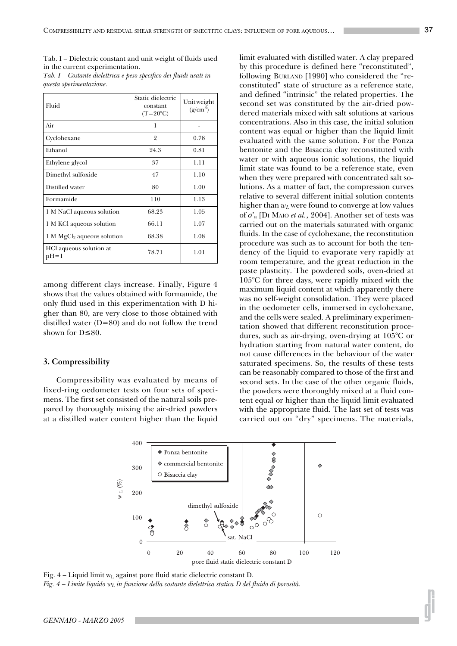Tab. I – Dielectric constant and unit weight of fluids used in the current experimentation.

| Fluid                               | Static dielectric<br>constant<br>$(T=20^{\circ}C)$ | Unit weight<br>$(g/cm^3)$ |
|-------------------------------------|----------------------------------------------------|---------------------------|
| Air                                 | 1                                                  |                           |
| Cyclohexane                         | $\overline{2}$                                     | 0.78                      |
| Ethanol                             | 24.3                                               | 0.81                      |
| Ethylene glycol                     | 37                                                 | 1.11                      |
| Dimethyl sulfoxide                  | 47                                                 | 1.10                      |
| Distilled water                     | 80                                                 | 1.00                      |
| Formamide                           | 110                                                | 1.13                      |
| 1 M NaCl aqueous solution           | 68.23                                              | 1.05                      |
| 1 M KCl aqueous solution            | 66.11                                              | 1.07                      |
| $1 M MgCl2$ aqueous solution        | 68.38                                              | 1.08                      |
| HCl aqueous solution at<br>$pH = 1$ | 78.71                                              | 1.01                      |

*Tab. I – Costante dielettrica e peso specifico dei fluidi usati in questa sperimentazione.*

among different clays increase. Finally, Figure 4 shows that the values obtained with formamide, the only fluid used in this experimentation with D higher than 80, are very close to those obtained with distilled water  $(D=80)$  and do not follow the trend shown for D≤80.

# **3. Compressibility**

Compressibility was evaluated by means of fixed-ring oedometer tests on four sets of specimens. The first set consisted of the natural soils prepared by thoroughly mixing the air-dried powders at a distilled water content higher than the liquid

limit evaluated with distilled water. A clay prepared by this procedure is defined here "reconstituted", following BURLAND [1990] who considered the "reconstituted" state of structure as a reference state, and defined "intrinsic" the related properties. The second set was constituted by the air-dried powdered materials mixed with salt solutions at various concentrations. Also in this case, the initial solution content was equal or higher than the liquid limit evaluated with the same solution. For the Ponza bentonite and the Bisaccia clay reconstituted with water or with aqueous ionic solutions, the liquid limit state was found to be a reference state, even when they were prepared with concentrated salt solutions. As a matter of fact, the compression curves relative to several different initial solution contents higher than  $w<sub>L</sub>$  were found to converge at low values of σ'a [DI MAIO *et al.*, 2004]. Another set of tests was carried out on the materials saturated with organic fluids. In the case of cyclohexane, the reconstitution procedure was such as to account for both the tendency of the liquid to evaporate very rapidly at room temperature, and the great reduction in the paste plasticity. The powdered soils, oven-dried at 105°C for three days, were rapidly mixed with the maximum liquid content at which apparently there was no self-weight consolidation. They were placed in the oedometer cells, immersed in cyclohexane, and the cells were sealed. A preliminary experimentation showed that different reconstitution procedures, such as air-drying, oven-drying at 105°C or hydration starting from natural water content, do not cause differences in the behaviour of the water saturated specimens. So, the results of these tests can be reasonably compared to those of the first and second sets. In the case of the other organic fluids, the powders were thoroughly mixed at a fluid content equal or higher than the liquid limit evaluated with the appropriate fluid. The last set of tests was carried out on "dry" specimens. The materials,



Fig.  $4$  – Liquid limit w<sub>L</sub> against pore fluid static dielectric constant D. *Fig.* 4 – *Limite liquido w<sub>L</sub> in funzione della costante dielettrica statica D del fluido di porosità.*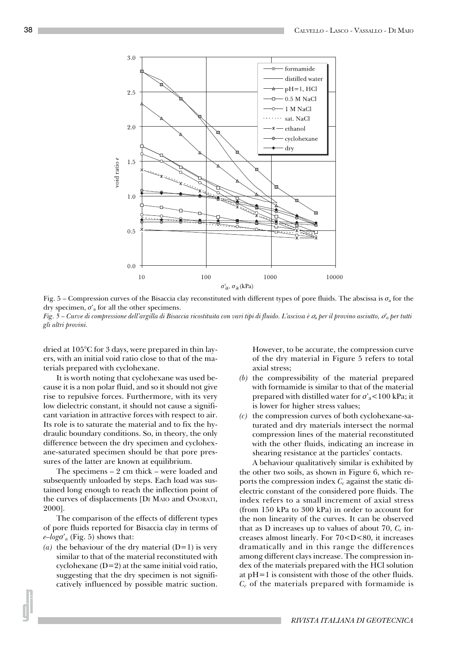

Fig. 5 – Compression curves of the Bisaccia clay reconstituted with different types of pore fluids. The abscissa is  $\sigma_a$  for the dry specimen,  $\sigma_a$  for all the other specimens.

*Fig. 5 – Curve di compressione dell'argilla di Bisaccia ricostituita con vari tipi di fluido. L'ascissa è* σ*a per il provino asciutto,* σ*'a per tutti gli altri provini.*

dried at 105°C for 3 days, were prepared in thin layers, with an initial void ratio close to that of the materials prepared with cyclohexane.

It is worth noting that cyclohexane was used because it is a non polar fluid, and so it should not give rise to repulsive forces. Furthermore, with its very low dielectric constant, it should not cause a significant variation in attractive forces with respect to air. Its role is to saturate the material and to fix the hydraulic boundary conditions. So, in theory, the only difference between the dry specimen and cyclohexane-saturated specimen should be that pore pressures of the latter are known at equilibrium.

The specimens – 2 cm thick – were loaded and subsequently unloaded by steps. Each load was sustained long enough to reach the inflection point of the curves of displacements [DI MAIO and ONORATI, 2000].

The comparison of the effects of different types of pore fluids reported for Bisaccia clay in terms of  $e$ *-logo*<sup> $\alpha$ </sup><sub>*a*</sub> (Fig. 5) shows that:

(a) the behaviour of the dry material  $(D=1)$  is very similar to that of the material reconstituted with cyclohexane  $(D=2)$  at the same initial void ratio, suggesting that the dry specimen is not significatively influenced by possible matric suction. However, to be accurate, the compression curve of the dry material in Figure 5 refers to total axial stress;

- *(b)* the compressibility of the material prepared with formamide is similar to that of the material prepared with distilled water for  $\sigma$ <sup>'</sup><sub>a</sub><100 kPa; it is lower for higher stress values;
- *(c)* the compression curves of both cyclohexane-saturated and dry materials intersect the normal compression lines of the material reconstituted with the other fluids, indicating an increase in shearing resistance at the particles' contacts.

A behaviour qualitatively similar is exhibited by the other two soils, as shown in Figure 6, which reports the compression index  $C_c$  against the static dielectric constant of the considered pore fluids. The index refers to a small increment of axial stress (from 150 kPa to 300 kPa) in order to account for the non linearity of the curves. It can be observed that as D increases up to values of about 70,  $C_c$  increases almost linearly. For 70<D<80, it increases dramatically and in this range the differences among different clays increase. The compression index of the materials prepared with the HCl solution at pH=1 is consistent with those of the other fluids. *Cc* of the materials prepared with formamide is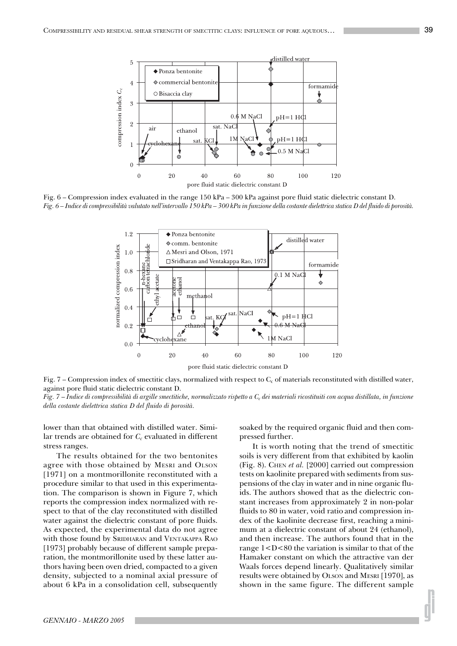

Fig. 6 – Compression index evaluated in the range 150 kPa – 300 kPa against pore fluid static dielectric constant D. *Fig. 6 – Indice di compressibilità valutato nell'intervallo 150 kPa – 300 kPa in funzione della costante dielettrica statica D del fluido di porosità.*



Fig.  $7$  – Compression index of smectitic clays, normalized with respect to  $C_c$  of materials reconstituted with distilled water, against pore fluid static dielectric constant D.

*Fig. 7* – *Indice di compressibilità di argille smectitiche, normalizzato rispetto a Cc dei materiali ricostituiti con acqua distillata, in funzione della costante dielettrica statica D del fluido di porosità.*

lower than that obtained with distilled water. Similar trends are obtained for  $C_c$  evaluated in different stress ranges.

The results obtained for the two bentonites agree with those obtained by MESRI and OLSON [1971] on a montmorillonite reconstituted with a procedure similar to that used in this experimentation. The comparison is shown in Figure 7, which reports the compression index normalized with respect to that of the clay reconstituted with distilled water against the dielectric constant of pore fluids. As expected, the experimental data do not agree with those found by SRIDHARAN and VENTAKAPPA RAO [1973] probably because of different sample preparation, the montmorillonite used by these latter authors having been oven dried, compacted to a given density, subjected to a nominal axial pressure of about 6 kPa in a consolidation cell, subsequently

soaked by the required organic fluid and then compressed further.

It is worth noting that the trend of smectitic soils is very different from that exhibited by kaolin (Fig. 8). CHEN *et al.* [2000] carried out compression tests on kaolinite prepared with sediments from suspensions of the clay in water and in nine organic fluids. The authors showed that as the dielectric constant increases from approximately 2 in non-polar fluids to 80 in water, void ratio and compression index of the kaolinite decrease first, reaching a minimum at a dielectric constant of about 24 (ethanol), and then increase. The authors found that in the range  $1 < D < 80$  the variation is similar to that of the Hamaker constant on which the attractive van der Waals forces depend linearly. Qualitatively similar results were obtained by OLSON and MESRI [1970], as shown in the same figure. The different sample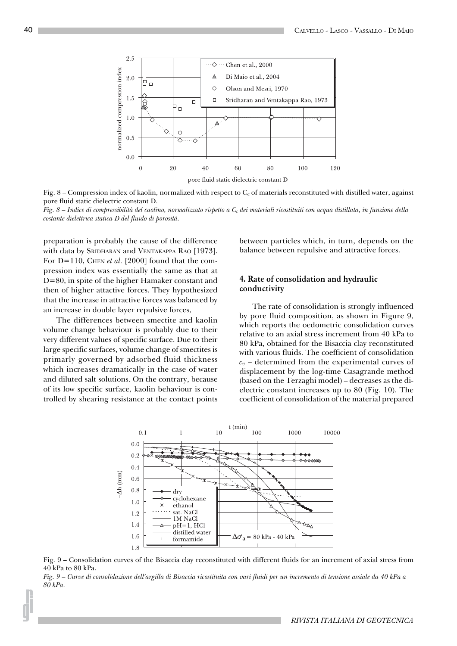

Fig.  $8$  – Compression index of kaolin, normalized with respect to  $C_c$  of materials reconstituted with distilled water, against pore fluid static dielectric constant D.

*Fig. 8 – Indice di compressibilità del caolino, normalizzato rispetto a Cc dei materiali ricostituiti con acqua distillata, in funzione della costante dielettrica statica D del fluido di porosità.*

preparation is probably the cause of the difference with data by SRIDHARAN and VENTAKAPPA RAO [1973]. For D=110, CHEN *et al.* [2000] found that the compression index was essentially the same as that at D=80, in spite of the higher Hamaker constant and then of higher attactive forces. They hypothesized that the increase in attractive forces was balanced by an increase in double layer repulsive forces,

The differences between smectite and kaolin volume change behaviour is probably due to their very different values of specific surface. Due to their large specific surfaces, volume change of smectites is primarly governed by adsorbed fluid thickness which increases dramatically in the case of water and diluted salt solutions. On the contrary, because of its low specific surface, kaolin behaviour is controlled by shearing resistance at the contact points between particles which, in turn, depends on the balance between repulsive and attractive forces.

# **4. Rate of consolidation and hydraulic conductivity**

The rate of consolidation is strongly influenced by pore fluid composition, as shown in Figure 9, which reports the oedometric consolidation curves relative to an axial stress increment from 40 kPa to 80 kPa, obtained for the Bisaccia clay reconstituted with various fluids. The coefficient of consolidation  $c_v$  – determined from the experimental curves of displacement by the log-time Casagrande method (based on the Terzaghi model) – decreases as the dielectric constant increases up to 80 (Fig. 10). The coefficient of consolidation of the material prepared



Fig. 9 – Consolidation curves of the Bisaccia clay reconstituted with different fluids for an increment of axial stress from 40 kPa to 80 kPa.

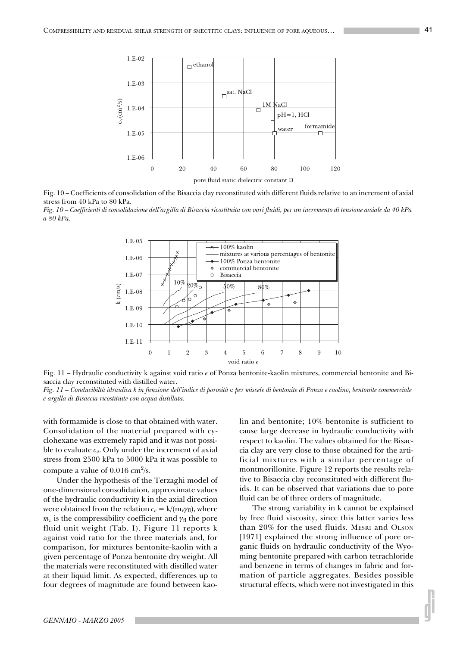

Fig. 10 – Coefficients of consolidation of the Bisaccia clay reconstituted with different fluids relative to an increment of axial stress from 40 kPa to 80 kPa.

*Fig. 10 – Coefficienti di consolidazione dell'argilla di Bisaccia ricostituita con vari fluidi, per un incremento di tensione assiale da 40 kPa a 80 kPa.*



Fig. 11 – Hydraulic conductivity k against void ratio *e* of Ponza bentonite-kaolin mixtures, commercial bentonite and Bisaccia clay reconstituted with distilled water.

*Fig. 11 – Conducibiltà idraulica k in funzione dell'indice di porosità* e *per miscele di bentonite di Ponza e caolino, bentonite commerciale e argilla di Bisaccia ricostituite con acqua distillata.*

with formamide is close to that obtained with water. Consolidation of the material prepared with cyclohexane was extremely rapid and it was not possible to evaluate  $c_v$ . Only under the increment of axial stress from 2500 kPa to 5000 kPa it was possible to compute a value of  $0.016 \text{ cm}^2\text{/s}.$ 

Under the hypothesis of the Terzaghi model of one-dimensional consolidation, approximate values of the hydraulic conductivity k in the axial direction were obtained from the relation  $c_v = k/(m_v \gamma_f)$ , where  $m_v$  is the compressibility coefficient and  $\gamma_f$  the pore fluid unit weight (Tab. I). Figure 11 reports k against void ratio for the three materials and, for comparison, for mixtures bentonite-kaolin with a given percentage of Ponza bentonite dry weight. All the materials were reconstituted with distilled water at their liquid limit. As expected, differences up to four degrees of magnitude are found between kaolin and bentonite; 10% bentonite is sufficient to cause large decrease in hydraulic conductivity with respect to kaolin. The values obtained for the Bisaccia clay are very close to those obtained for the artificial mixtures with a similar percentage of montmorillonite. Figure 12 reports the results relative to Bisaccia clay reconstituted with different fluids. It can be observed that variations due to pore fluid can be of three orders of magnitude.

The strong variability in k cannot be explained by free fluid viscosity, since this latter varies less than 20% for the used fluids. MESRI and OLSON [1971] explained the strong influence of pore organic fluids on hydraulic conductivity of the Wyoming bentonite prepared with carbon tetrachloride and benzene in terms of changes in fabric and formation of particle aggregates. Besides possible structural effects, which were not investigated in this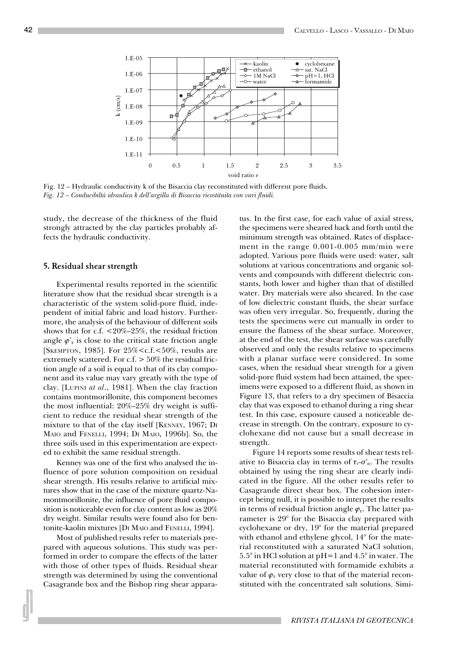

Fig. 12 – Hydraulic conductivity k of the Bisaccia clay reconstituted with different pore fluids. *Fig. 12 – Conducibiltà idraulica k dell'argilla di Bisaccia ricostituita con vari fluidi.*

study, the decrease of the thickness of the fluid strongly attracted by the clay particles probably affects the hydraulic conductivity.

#### **5. Residual shear strength**

Experimental results reported in the scientific literature show that the residual shear strength is a characteristic of the system solid-pore fluid, independent of initial fabric and load history. Furthermore, the analysis of the behaviour of different soils shows that for c.f. <20%–25%, the residual friction angle  $\varphi$ <sup>r</sup> is close to the critical state friction angle [SKEMPTON, 1985]. For 25%<c.f.<50%, results are extremely scattered. For  $c.f. > 50\%$  the residual friction angle of a soil is equal to that of its clay component and its value may vary greatly with the type of clay. [LUPINI *at al*., 1981]. When the clay fraction contains montmorillonite, this component becomes the most influential: 20%–25% dry weight is sufficient to reduce the residual shear strength of the mixture to that of the clay itself [KENNEY, 1967; DI MAIO and FENELLI, 1994; DI MAIO, 1996b]. So, the three soils used in this experimentation are expected to exhibit the same residual strength.

Kenney was one of the first who analysed the influence of pore solution composition on residual shear strength. His results relative to artificial mixtures show that in the case of the mixture quartz-Namontmorillonite, the influence of pore fluid composition is noticeable even for clay content as low as 20% dry weight. Similar results were found also for bentonite-kaolin mixtures [DI MAIO and FENELLI, 1994].

Most of published results refer to materials prepared with aqueous solutions. This study was performed in order to compare the effects of the latter with those of other types of fluids. Residual shear strength was determined by using the conventional Casagrande box and the Bishop ring shear apparatus. In the first case, for each value of axial stress, the specimens were sheared back and forth until the minimum strength was obtained. Rates of displacement in the range 0.001-0.005 mm/min were adopted. Various pore fluids were used: water, salt solutions at various concentrations and organic solvents and compounds with different dielectric constants, both lower and higher than that of distilled water. Dry materials were also sheared. In the case of low dielectric constant fluids, the shear surface was often very irregular. So, frequently, during the tests the specimens were cut manually in order to ensure the flatness of the shear surface. Moreover, at the end of the test, the shear surface was carefully observed and only the results relative to specimens with a planar surface were considered. In some cases, when the residual shear strength for a given solid-pore fluid system had been attained, the specimens were exposed to a different fluid, as shown in Figure 13, that refers to a dry specimen of Bisaccia clay that was exposed to ethanol during a ring shear test. In this case, exposure caused a noticeable decrease in strength. On the contrary, exposure to cyclohexane did not cause but a small decrease in strength.

Figure 14 reports some results of shear tests relative to Bisaccia clay in terms of  $\tau_r$ - $\sigma'_n$ . The results obtained by using the ring shear are clearly indicated in the figure. All the other results refer to Casagrande direct shear box. The cohesion intercept being null, it is possible to interpret the results in terms of residual friction angle  $\varphi_r$ . The latter parameter is 29° for the Bisaccia clay prepared with cyclohexane or dry, 19° for the material prepared with ethanol and ethylene glycol, 14° for the material reconstituted with a saturated NaCl solution, 5.5° in HCl solution at pH=1 and 4.5° in water. The material reconstituted with formamide exhibits a value of  $\varphi_r$  very close to that of the material reconstituted with the concentrated salt solutions. Simi-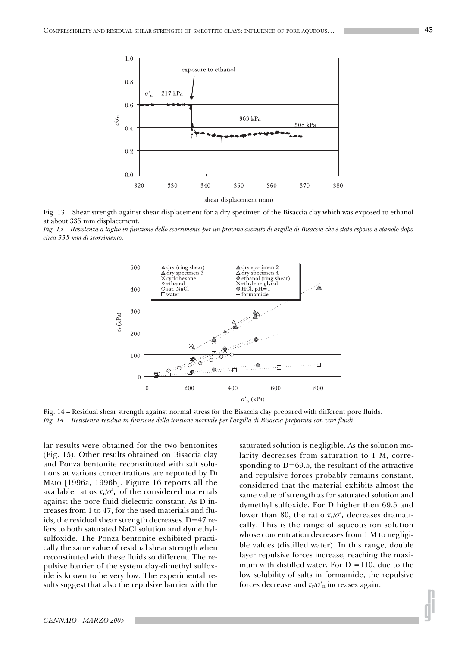

Fig. 13 – Shear strength against shear displacement for a dry specimen of the Bisaccia clay which was exposed to ethanol at about 335 mm displacement.

*Fig. 13* – *Resistenza a taglio in funzione dello scorrimento per un provino asciutto di argilla di Bisaccia che è stato esposto a etanolo dopo circa 335 mm di scorrimento.*



Fig. 14 – Residual shear strength against normal stress for the Bisaccia clay prepared with different pore fluids. *Fig. 14 – Resistenza residua in funzione della tensione normale per l'argilla di Bisaccia preparata con vari fluidi.*

lar results were obtained for the two bentonites (Fig. 15). Other results obtained on Bisaccia clay and Ponza bentonite reconstituted with salt solutions at various concentrations are reported by DI MAIO [1996a, 1996b]. Figure 16 reports all the available ratios  $\tau_{r}/\sigma_{n}$  of the considered materials against the pore fluid dielectric constant. As D increases from 1 to 47, for the used materials and fluids, the residual shear strength decreases. D=47 refers to both saturated NaCl solution and dymethylsulfoxide. The Ponza bentonite exhibited practically the same value of residual shear strength when reconstituted with these fluids so different. The repulsive barrier of the system clay-dimethyl sulfoxide is known to be very low. The experimental results suggest that also the repulsive barrier with the saturated solution is negligible. As the solution molarity decreases from saturation to 1 M, corresponding to  $D=69.5$ , the resultant of the attractive and repulsive forces probably remains constant, considered that the material exhibits almost the same value of strength as for saturated solution and dymethyl sulfoxide. For D higher then 69.5 and lower than 80, the ratio  $\tau_r/\sigma_n$  decreases dramatically. This is the range of aqueous ion solution whose concentration decreases from 1 M to negligible values (distilled water). In this range, double layer repulsive forces increase, reaching the maximum with distilled water. For  $D = 110$ , due to the low solubility of salts in formamide, the repulsive forces decrease and  $\tau_r/\sigma_n$  increases again.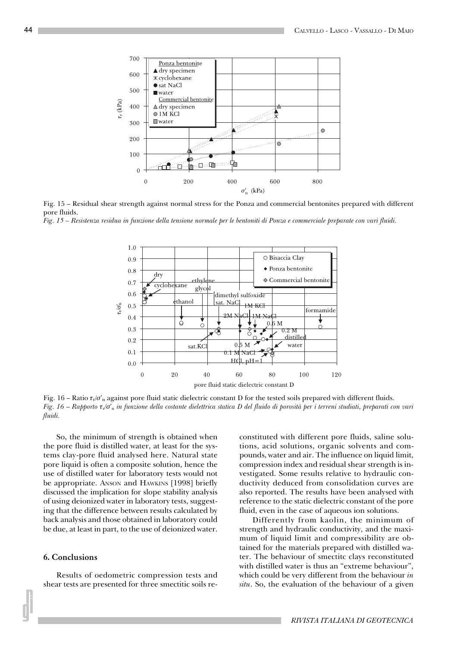

Fig. 15 – Residual shear strength against normal stress for the Ponza and commercial bentonites prepared with different pore fluids.

*Fig. 15 – Resistenza residua in funzione della tensione normale per le bentoniti di Ponza e commerciale preparate con vari fluidi.*



Fig. 16 – Ratio  $\tau_v/\sigma'_n$  against pore fluid static dielectric constant D for the tested soils prepared with different fluids. *Fig. 16* – *Rapporto* τ*r/*σ'*n in funzione della costante dielettrica statica D del fluido di porosità per i terreni studiati, preparati con vari fluidi.*

So, the minimum of strength is obtained when the pore fluid is distilled water, at least for the systems clay-pore fluid analysed here. Natural state pore liquid is often a composite solution, hence the use of distilled water for laboratory tests would not be appropriate. ANSON and HAWKINS [1998] briefly discussed the implication for slope stability analysis of using deionized water in laboratory tests, suggesting that the difference between results calculated by back analysis and those obtained in laboratory could be due, at least in part, to the use of deionized water.

## **6. Conclusions**

Results of oedometric compression tests and shear tests are presented for three smectitic soils reconstituted with different pore fluids, saline solutions, acid solutions, organic solvents and compounds, water and air. The influence on liquid limit, compression index and residual shear strength is investigated. Some results relative to hydraulic conductivity deduced from consolidation curves are also reported. The results have been analysed with reference to the static dielectric constant of the pore fluid, even in the case of aqueous ion solutions.

Differently from kaolin, the minimum of strength and hydraulic conductivity, and the maximum of liquid limit and compressibility are obtained for the materials prepared with distilled water. The behaviour of smectitc clays reconstituted with distilled water is thus an "extreme behaviour", which could be very different from the behaviour *in situ*. So, the evaluation of the behaviour of a given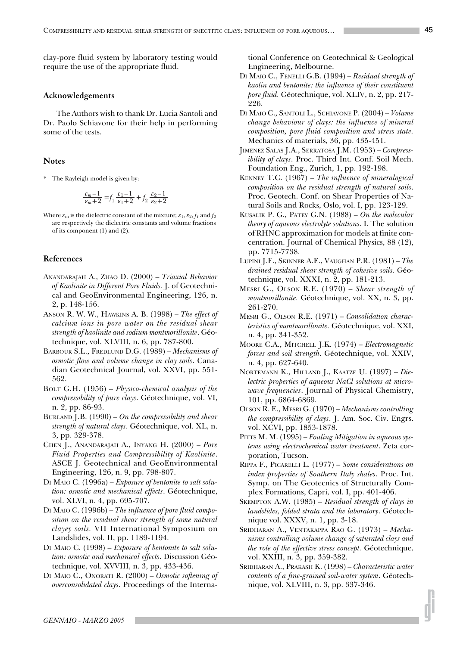clay-pore fluid system by laboratory testing would require the use of the appropriate fluid.

# **Acknowledgements**

The Authors wish to thank Dr. Lucia Santoli and Dr. Paolo Schiavone for their help in performing some of the tests.

#### **Notes**

\* The Rayleigh model is given by:

$$
\frac{\varepsilon_m - 1}{\varepsilon_m + 2} = f_1 \frac{\varepsilon_1 - 1}{\varepsilon_1 + 2} + f_2 \frac{\varepsilon_2 - 1}{\varepsilon_2 + 2}
$$

Where  $\varepsilon_{\rm m}$  is the dielectric constant of the mixture;  $\varepsilon_1$ ,  $\varepsilon_2$ ,  $f_1$  and  $f_2$ are respectively the dielectric constants and volume fractions of its component (1) and (2).

# **References**

- ANANDARAJAH A., ZHAO D. (2000) *Triaxial Behavior of Kaolinite in Different Pore Fluids.* J. of Geotechnical and GeoEnvironmental Engineering, 126, n. 2, p. 148-156.
- ANSON R. W. W., HAWKINS A. B. (1998) *The effect of calcium ions in pore water on the residual shear strength of kaolinite and sodium montmorillonite*. Géotechnique, vol. XLVIII, n. 6, pp. 787-800.
- BARBOUR S.L., FREDLUND D.G. (1989) *Mechanisms of osmotic flow and volume change in clay soils*. Canadian Geotechnical Journal, vol. XXVI, pp. 551- 562.
- BOLT G.H. (1956) *Physico-chemical analysis of the compressibility of pure clays*. Géotechnique, vol. VI, n. 2, pp. 86-93.
- BURLAND J.B. (1990) *On the compressibility and shear strength of natural clays*. Géotechnique, vol. XL, n. 3, pp. 329-378.
- CHEN J., ANANDARAJAH A., INYANG H. (2000) *Pore Fluid Properties and Compressibility of Kaolinite*. ASCE J. Geotechnical and GeoEnvironmental Engineering, 126, n. 9, pp. 798-807.
- DI MAIO C. (1996a) *Exposure of bentonite to salt solution: osmotic and mechanical effects*. Géotechnique, vol. XLVI, n. 4, pp. 695-707.
- DI MAIO C. (1996b) *The influence of pore fluid composition on the residual shear strength of some natural clayey soils.* VII International Symposium on Landslides, vol. II, pp. 1189-1194.
- DI MAIO C. (1998) *Exposure of bentonite to salt solution: osmotic and mechanical effects*. Discussion Géotechnique, vol. XVVIII, n. 3, pp. 433-436.
- DI MAIO C., ONORATI R. (2000) *Osmotic softening of overconsolidated clays*. Proceedings of the Interna-

tional Conference on Geotechnical & Geological Engineering, Melbourne.

- DI MAIO C., FENELLI G.B. (1994) *Residual strength of kaolin and bentonite: the influence of their constituent pore fluid.* Géotechnique, vol. XLIV, n. 2, pp. 217- 226.
- DI MAIO C., SANTOLI L., SCHIAVONE P. (2004) *Volume change behaviour of clays: the influence of mineral composition, pore fluid composition and stress state.* Mechanics of materials, 36, pp. 435-451.
- JIMENEZ SALAS J.A., SERRATOSA J.M. (1953) *Compressibility of clays*. Proc. Third Int. Conf. Soil Mech. Foundation Eng., Zurich, 1, pp. 192-198.
- KENNEY T.C. (1967) *The influence of mineralogical composition on the residual strength of natural soils*. Proc. Geotech. Conf. on Shear Properties of Natural Soils and Rocks, Oslo, vol. I, pp. 123-129.
- KUSALIK P. G., PATEY G.N. (1988) *On the molecular theory of aqueous electrolyte solutions*. I. The solution of RHNC approximation for models at finite concentration. Journal of Chemical Physics, 88 (12), pp. 7715-7738.
- LUPINI J.F., SKINNER A.E., VAUGHAN P.R. (1981) *The drained residual shear strength of cohesive soils*. Géotechnique, vol. XXXI, n. 2, pp. 181-213.
- MESRI G., OLSON R.E. (1970) *Shear strength of montmorillonite.* Géotechnique, vol. XX, n. 3, pp. 261-270.
- MESRI G., OLSON R.E. (1971) *Consolidation characteristics of montmorillonite.* Géotechnique, vol. XXI, n. 4, pp. 341-352.
- MOORE C.A., MITCHELL J.K. (1974) *Electromagnetic forces and soil strength*. Géotechnique, vol. XXIV, n. 4, pp. 627-640.
- NORTEMANN K., HILLAND J., KAATZE U. (1997) *Dielectric properties of aqueous NaCl solutions at microwave frequencies*. Journal of Physical Chemistry, 101, pp. 6864-6869.
- OLSON R. E., MESRI G. (1970) *Mechanisms controlling the compressibility of clays*. J. Am. Soc. Civ. Engrs. vol. XCVI, pp. 1853-1878.
- PITTS M. M. (1995) *Fouling Mitigation in aqueous systems using electrochemical water treatment*. Zeta corporation, Tucson.
- RIPPA F., PICARELLI L. (1977) *Some considerations on index properties of Southern Italy shales*. Proc. Int. Symp. on The Geotecnics of Structurally Complex Formations, Capri, vol. I, pp. 401-406.
- SKEMPTON A.W. (1985) *Residual strength of clays in landslides, folded strata and the laboratory*. Géotechnique vol. XXXV, n. 1, pp. 3-18.
- SRIDHARAN A., VENTAKAPPA RAO G. (1973) *Mechanisms controlling volume change of saturated clays and the role of the effective stress concept.* Géotechnique, vol. XXIII, n. 3, pp. 359-382.
- SRIDHARAN A., PRAKASH K. (1998) *Characteristic water contents of a fine-grained soil-water system*. Géotechnique, vol. XLVIII, n. 3, pp. 337-346.